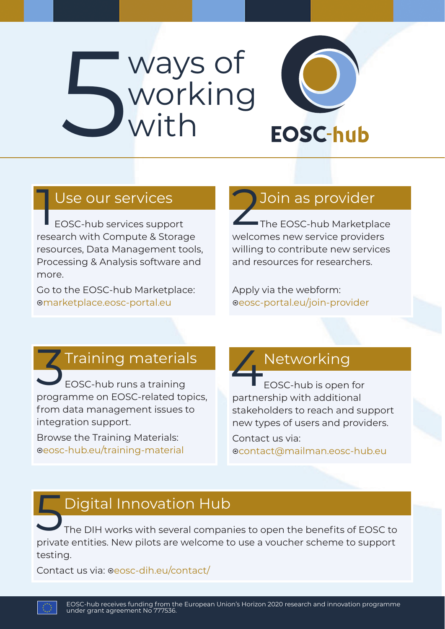# Supervision working with



#### Use our services

1 EOSC-hub services support research with Compute & Storage resources, Data Management tools, Processing & Analysis software and more.

Go to the EOSC-hub Marketplace: marketplace.eosc-portal.eu

#### 2Join as provider

The EOSC-hub Marketplace welcomes new service providers willing to contribute new services and resources for researchers.

Apply via the webform: eosc-portal.eu/join-provider

#### 3Training materials

EOSC-hub runs a training programme on EOSC-related topics, from data management issues to integration support.

Browse the Training Materials: eosc-hub.eu/training-material

#### Networking

EOSC-hub is open for partnership with additional stakeholders to reach and support new types of users and providers. Contact us via:

contact@mailman.eosc-hub.eu

### **F** Digital Innovation Hub

The DIH works with several companies to open the benefits of EOSC to private entities. New pilots are welcome to use a voucher scheme to support testing.

Contact us via: oeosc-dih.eu/contact/